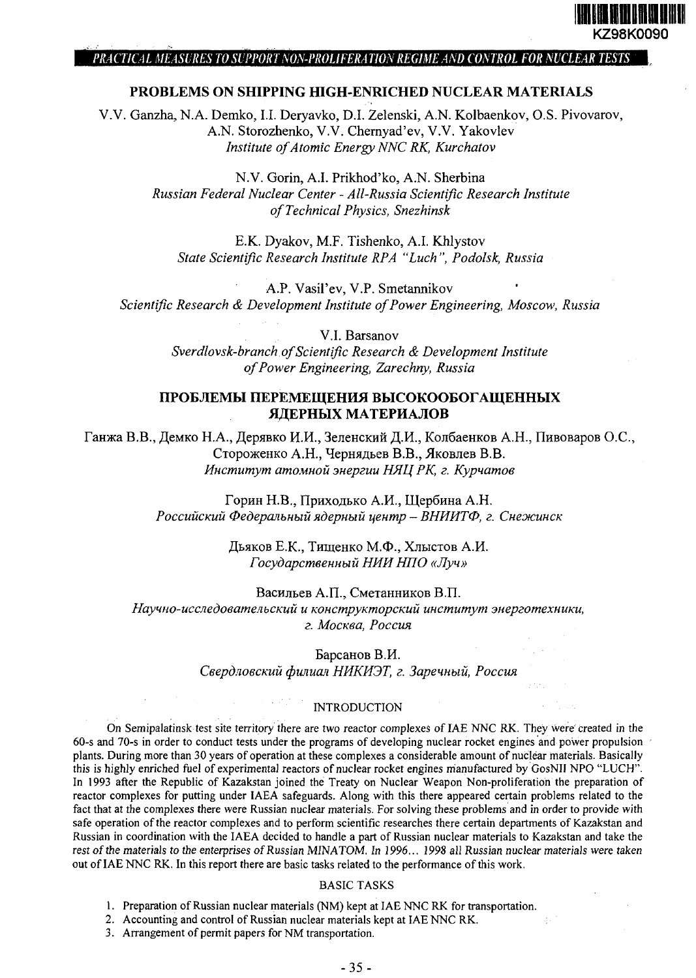

### PRACTICAL MEASURES TO SUPPORT NON-PROLIFERATION REGIME AND CONTROL FOR NUCLEAR TESTS

## **PROBLEMS ON SHIPPING HIGH-ENRICHED NUCLEAR MATERIALS**

V.V. Ganzha, N.A. Demko, I.I. Deryavko, D.I. Zelenski, A.N. Kolbaenkov, O.S. Pivovarov, A.N. Storozhenko, V.V. Chernyad'ev, V.V. Yakovlev *Institute of Atomic Energy NNC RK, Kurchatov*

> N.V. Gorin, A.I. Prikhod'ko, A.N. Sherbina *Russian Federal Nuclear Center - All-Russia Scientific Research Institute of Technical Physics, Snezhinsk*

E.K. Dyakov, M.F. Tishenko, A.I. Khlystov *State Scientific Research Institute RPA "Luch ", Podolsk, Russia*

A.P. Vasil'ev, V.P. Smetannikov *Scientific Research & Development Institute of Power Engineering, Moscow, Russia*

> V.l. Barsanov *Sverdlovsk-branch of Scientific Research & Development Institute of Power Engineering, Zarechny, Russia*

# ПРОБЛЕМЫ ПЕРЕМЕЩЕНИЯ ВЫСОКООБОГАЩЕННЫХ **ЯДЕРНЫХ МАТЕРИАЛОВ**

Ганжа В.В., Демко Н.А., Дерявко И.И., Зеленский Д.И., Колбаенков А.Н., Пивоваров О.С., Стороженко А.Н., Чернядьев В.В., Яковлев В.В. *Институт атомной энергии НЯЦРК, г. Курчатов*

> Горин Н.В., Приходько А.И., Щербина А.Н. *Российский Федеральный ядерный центр - ВНИИТФ, г. Снежинск*

> > Дьяков Е.К., Тищенко М.Ф., Хлыстов А.И. *Государственный НИИ НПО «Луч»*

Васильев А.П., Сметанников В.П. *Научно-исследовательский и конструкторский институт энерготехники, г. Москва, Россия*

> Барсанов В.И. *Свердловский филиал НИКИЭТ, г. Заречный, Россия*

### INTRODUCTION

On Semipalatinsk test site territory there are two reactor complexes of IAE NNC RK. They were created in the 60-s and 70-s in order to conduct tests under the programs of developing nuclear rocket engines and power propulsion plants. During more than 30 years of operation at these complexes a considerable amount of nuclear materials. Basically this is highly enriched fuel of experimental reactors of nuclear rocket engines manufactured by GosNII NPO "LUCH". In 1993 after the Republic of Kazakstan joined the Treaty on Nuclear Weapon Non-proliferation the preparation of reactor complexes for putting under IAEA safeguards. Along with this there appeared certain problems related to the fact that at the complexes there were Russian nuclear materials. For solving these problems and in order to provide with safe operation of the reactor complexes and to perform scientific researches there certain departments of Kazakstan and Russian in coordination with the IAEA decided to handle a part of Russian nuclear materials to Kazakstan and take the rest of the materials to the enterprises of Russian MINATOM. In 1996... 1998 all Russian nuclear materials were taken out of IAE NNC RK. In this report there are basic tasks related to the performance of this work.

# BASIC TASKS

1. Preparation of Russian nuclear materials (NM) kept at IAE NNC RK for transportation.

2. Accounting and control of Russian nuclear materials kept at IAE NNC RK.

3. Arrangement of permit papers for NM transportation.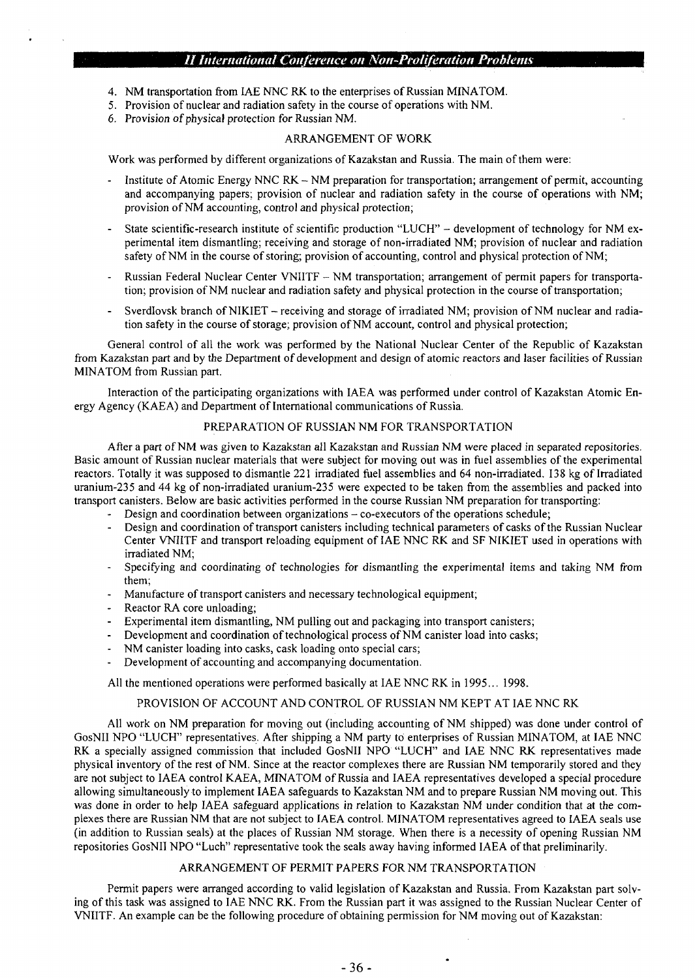## // *International Conference on Non-Proliferation Problems*

- 4. NM transportation from IAE NNC RK to the enterprises of Russian MINATOM.
- 5. Provision of nuclear and radiation safety in the course of operations with NM.
- 6. Provision of physical protection for Russian NM.

### ARRANGEMENT OF WORK

Work was performed by different organizations of Kazakstan and Russia. The main of them were:

- Institute of Atomic Energy NNC RK NM preparation for transportation; arrangement of permit, accounting and accompanying papers; provision of nuclear and radiation safety in the course of operations with NM; provision of NM accounting, control and physical protection;
- State scientific-research institute of scientific production "LUCH" development of technology for NM experimental item dismantling; receiving and storage of non-irradiated NM; provision of nuclear and radiation safety of NM in the course of storing; provision of accounting, control and physical protection of NM;
- Russian Federal Nuclear Center VNIITF NM transportation; arrangement of permit papers for transportation; provision of NM nuclear and radiation safety and physical protection in the course of transportation;
- Sverdlovsk branch of NIKIET receiving and storage of irradiated NM; provision of NM nuclear and radiation safety in the course of storage; provision of NM account, control and physical protection;

General control of all the work was performed by the National Nuclear Center of the Republic of Kazakstan from Kazakstan part and by the Department of development and design of atomic reactors and laser facilities of Russian MINATOM from Russian part.

Interaction of the participating organizations with IAEA was performed under control of Kazakstan Atomic Energy Agency (KAEA) and Department of International communications of Russia.

### PREPARATION OF RUSSIAN NM FOR TRANSPORTATION

After a part of NM was given to Kazakstan all Kazakstan and Russian NM were placed in separated repositories. Basic amount of Russian nuclear materials that were subject for moving out was in fuel assemblies of the experimental reactors. Totally it was supposed to dismantle 221 irradiated fuel assemblies and 64 non-irradiated. 138 kg of Irradiated uranium-235 and 44 kg of non-irradiated uranium-235 were expected to be taken from the assemblies and packed into transport canisters. Below are basic activities performed in the course Russian NM preparation for transporting:

- Design and coordination between organizations  $-$  co-executors of the operations schedule;
- Design and coordination of transport canisters including technical parameters of casks of the Russian Nuclear Center VNIITF and transport reloading equipment of IAE NNC RK and SF NIKIET used in operations with irradiated NM;
- Specifying and coordinating of technologies for dismantling the experimental items and taking NM from them;
- Manufacture of transport canisters and necessary technological equipment;
- Reactor RA core unloading;
- Experimental item dismantling, NM pulling out and packaging into transport canisters;
- Development and coordination of technological process of NM canister load into casks;
- NM canister loading into casks, cask loading onto special cars;
- Development of accounting and accompanying documentation.

All the mentioned operations were performed basically at IAE NNC RK in 1995... 1998.

### PROVISION OF ACCOUNT AND CONTROL OF RUSSIAN NM KEPT AT IAE NNC RK

All work on NM preparation for moving out (including accounting of NM shipped) was done under control of GosNII NPO "LUCH" representatives. After shipping a NM party to enterprises of Russian MINATOM, at IAE NNC RK a specially assigned commission that included GosNII NPO "LUCH" and IAE NNC RK representatives made physical inventory of the rest of NM. Since at the reactor complexes there are Russian NM temporarily stored and they are not subject to IAEA control KAEA, MINATOM of Russia and IAEA representatives developed a special procedure allowing simultaneously to implement IAEA safeguards to Kazakstan NM and to prepare Russian NM moving out. This was done in order to help IAEA safeguard applications in relation to Kazakstan NM under condition that at the complexes there are Russian NM that are not subject to IAEA control. MINATOM representatives agreed to IAEA seals use (in addition to Russian seals) at the places of Russian NM storage. When there is a necessity of opening Russian NM repositories GosNII NPO "Luch" representative took the seals away having informed IAEA of that preliminarily.

#### ARRANGEMENT OF PERMIT PAPERS FOR NM TRANSPORTATION

Permit papers were arranged according to valid legislation of Kazakstan and Russia. From Kazakstan part solving of this task was assigned to IAE NNC RK. From the Russian part it was assigned to the Russian Nuclear Center of VNIITF. An example can be the following procedure of obtaining permission for NM moving out of Kazakstan: